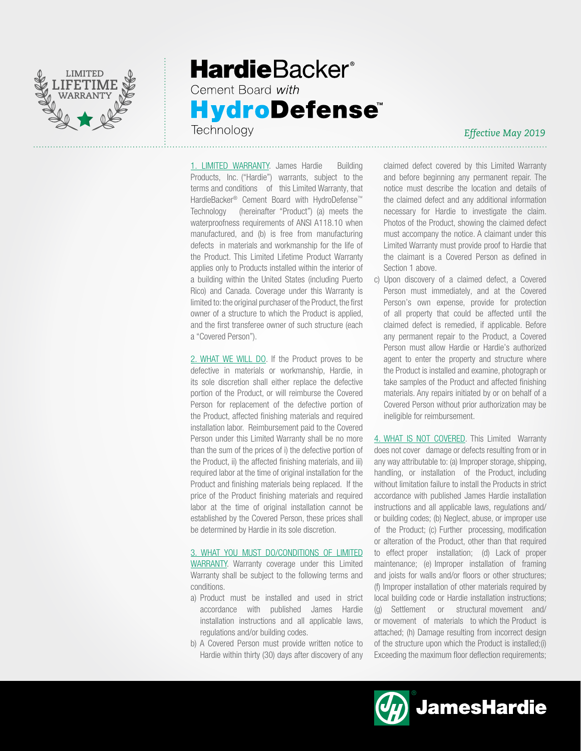

## **HardieBacker®** Cement Board with **HydroDefense** Technology

### *Effective May 2019*

1. LIMITED WARRANTY. James Hardie Building Products, Inc. ("Hardie") warrants, subject to the terms and conditions of this Limited Warranty, that HardieBacker® Cement Board with HydroDefense™ Technology (hereinafter "Product") (a) meets the waterproofness requirements of ANSI A118.10 when manufactured, and (b) is free from manufacturing defects in materials and workmanship for the life of the Product. This Limited Lifetime Product Warranty applies only to Products installed within the interior of a building within the United States (including Puerto Rico) and Canada. Coverage under this Warranty is limited to: the original purchaser of the Product, the first owner of a structure to which the Product is applied, and the first transferee owner of such structure (each a "Covered Person").

2. WHAT WE WILL DO. If the Product proves to be defective in materials or workmanship, Hardie, in its sole discretion shall either replace the defective portion of the Product, or will reimburse the Covered Person for replacement of the defective portion of the Product, affected finishing materials and required installation labor. Reimbursement paid to the Covered Person under this Limited Warranty shall be no more than the sum of the prices of i) the defective portion of the Product, ii) the affected finishing materials, and iii) required labor at the time of original installation for the Product and finishing materials being replaced. If the price of the Product finishing materials and required labor at the time of original installation cannot be established by the Covered Person, these prices shall be determined by Hardie in its sole discretion.

### 3. WHAT YOU MUST DO/CONDITIONS OF LIMITED

WARRANTY. Warranty coverage under this Limited Warranty shall be subject to the following terms and conditions.

- a) Product must be installed and used in strict accordance with published James Hardie installation instructions and all applicable laws, regulations and/or building codes.
- b) A Covered Person must provide written notice to Hardie within thirty (30) days after discovery of any

claimed defect covered by this Limited Warranty and before beginning any permanent repair. The notice must describe the location and details of the claimed defect and any additional information necessary for Hardie to investigate the claim. Photos of the Product, showing the claimed defect must accompany the notice. A claimant under this Limited Warranty must provide proof to Hardie that the claimant is a Covered Person as defined in Section 1 above.

c) Upon discovery of a claimed defect, a Covered Person must immediately, and at the Covered Person's own expense, provide for protection of all property that could be affected until the claimed defect is remedied, if applicable. Before any permanent repair to the Product, a Covered Person must allow Hardie or Hardie's authorized agent to enter the property and structure where the Product is installed and examine, photograph or take samples of the Product and affected finishing materials. Any repairs initiated by or on behalf of a Covered Person without prior authorization may be ineligible for reimbursement.

4. WHAT IS NOT COVERED. This Limited Warranty does not cover damage or defects resulting from or in any way attributable to: (a) Improper storage, shipping, handling, or installation of the Product, including without limitation failure to install the Products in strict accordance with published James Hardie installation instructions and all applicable laws, regulations and/ or building codes; (b) Neglect, abuse, or improper use of the Product; (c) Further processing, modification or alteration of the Product, other than that required to effect proper installation; (d) Lack of proper maintenance; (e) Improper installation of framing and joists for walls and/or floors or other structures; (f) Improper installation of other materials required by local building code or Hardie installation instructions; (g) Settlement or structural movement and/ or movement of materials to which the Product is attached; (h) Damage resulting from incorrect design of the structure upon which the Product is installed;(i) Exceeding the maximum floor deflection requirements;

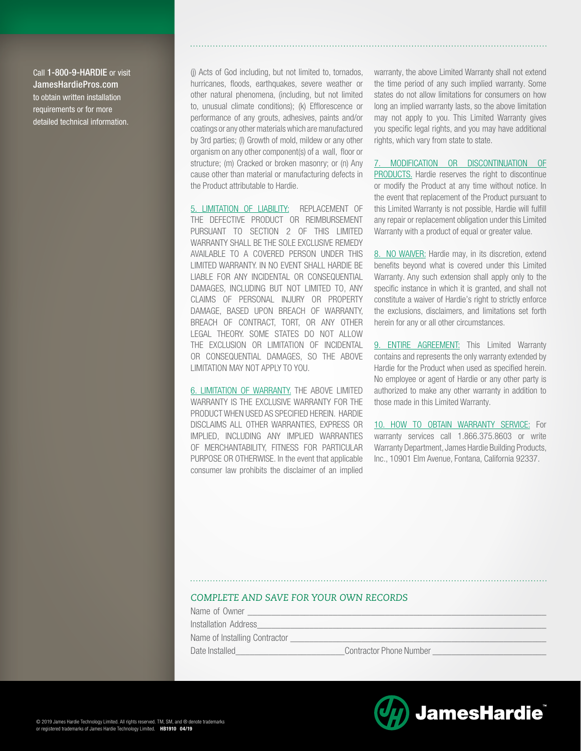Call 1-800-9-HARDIE or visit JamesHardiePros.com to obtain written installation requirements or for more detailed technical information.

(j) Acts of God including, but not limited to, tornados, hurricanes, floods, earthquakes, severe weather or other natural phenomena, (including, but not limited to, unusual climate conditions); (k) Efflorescence or performance of any grouts, adhesives, paints and/or coatings or any other materials which are manufactured by 3rd parties; (l) Growth of mold, mildew or any other organism on any other component(s) of a wall, floor or structure; (m) Cracked or broken masonry; or (n) Any cause other than material or manufacturing defects in the Product attributable to Hardie.

5. LIMITATION OF LIABILITY: REPLACEMENT OF THE DEFECTIVE PRODUCT OR REIMBURSEMENT PURSUANT TO SECTION 2 OF THIS LIMITED WARRANTY SHALL BE THE SOLE EXCLUSIVE REMEDY AVAILABLE TO A COVERED PERSON UNDER THIS LIMITED WARRANTY. IN NO EVENT SHALL HARDIE BE LIABLE FOR ANY INCIDENTAL OR CONSEQUENTIAL DAMAGES, INCLUDING BUT NOT LIMITED TO, ANY CLAIMS OF PERSONAL INJURY OR PROPERTY DAMAGE, BASED UPON BREACH OF WARRANTY, BREACH OF CONTRACT, TORT, OR ANY OTHER LEGAL THEORY. SOME STATES DO NOT ALLOW THE EXCLUSION OR LIMITATION OF INCIDENTAL OR CONSEQUENTIAL DAMAGES, SO THE ABOVE LIMITATION MAY NOT APPLY TO YOU.

6. LIMITATION OF WARRANTY. THE ABOVE LIMITED WARRANTY IS THE EXCLUSIVE WARRANTY FOR THE PRODUCT WHEN USED AS SPECIFIED HEREIN. HARDIE DISCLAIMS ALL OTHER WARRANTIES, EXPRESS OR IMPLIED, INCLUDING ANY IMPLIED WARRANTIES OF MERCHANTABILITY, FITNESS FOR PARTICULAR PURPOSE OR OTHERWISE. In the event that applicable consumer law prohibits the disclaimer of an implied warranty, the above Limited Warranty shall not extend the time period of any such implied warranty. Some states do not allow limitations for consumers on how long an implied warranty lasts, so the above limitation may not apply to you. This Limited Warranty gives you specific legal rights, and you may have additional rights, which vary from state to state.

7. MODIFICATION OR DISCONTINUATION OF PRODUCTS. Hardie reserves the right to discontinue or modify the Product at any time without notice. In the event that replacement of the Product pursuant to this Limited Warranty is not possible, Hardie will fulfill any repair or replacement obligation under this Limited Warranty with a product of equal or greater value.

8. NO WAIVER: Hardie may, in its discretion, extend benefits beyond what is covered under this Limited Warranty. Any such extension shall apply only to the specific instance in which it is granted, and shall not constitute a waiver of Hardie's right to strictly enforce the exclusions, disclaimers, and limitations set forth herein for any or all other circumstances.

9. ENTIRE AGREEMENT: This Limited Warranty contains and represents the only warranty extended by Hardie for the Product when used as specified herein. No employee or agent of Hardie or any other party is authorized to make any other warranty in addition to those made in this Limited Warranty.

10. HOW TO OBTAIN WARRANTY SERVICE: For warranty services call 1.866.375.8603 or write Warranty Department, James Hardie Building Products, Inc., 10901 Elm Avenue, Fontana, California 92337.

#### *COMPLETE AND SAVE FOR YOUR OWN RECORDS*

Name of Owner

Installation Address

Name of Installing Contractor

Date Installed\_\_\_\_\_\_\_\_\_\_\_\_\_\_\_\_\_\_\_\_\_\_\_Contractor Phone Number \_\_\_\_\_\_\_\_\_\_\_\_\_\_\_\_\_\_\_\_\_\_\_\_

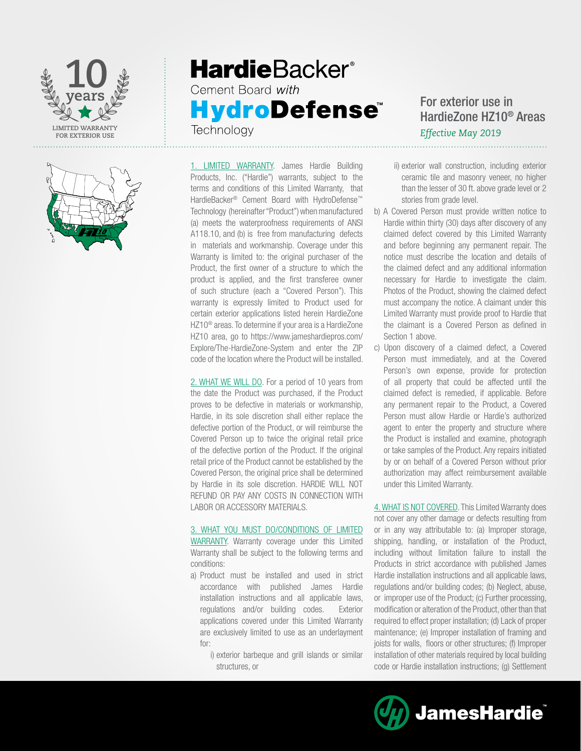



# **HardieBacker®** Cement Board with **HydroDefense** Technology

1. LIMITED WARRANTY. James Hardie Building Products, Inc. ("Hardie") warrants, subject to the terms and conditions of this Limited Warranty, that HardieBacker® Cement Board with HydroDefense™ Technology (hereinafter "Product") when manufactured (a) meets the waterproofness requirements of ANSI A118.10, and (b) is free from manufacturing defects in materials and workmanship. Coverage under this Warranty is limited to: the original purchaser of the Product, the first owner of a structure to which the product is applied, and the first transferee owner of such structure (each a "Covered Person"). This warranty is expressly limited to Product used for certain exterior applications listed herein HardieZone HZ10® areas. To determine if your area is a HardieZone HZ10 area, go to https://www.jameshardiepros.com/ Explore/The-HardieZone-System and enter the ZIP code of the location where the Product will be installed.

2. WHAT WE WILL DO. For a period of 10 years from the date the Product was purchased, if the Product proves to be defective in materials or workmanship, Hardie, in its sole discretion shall either replace the defective portion of the Product, or will reimburse the Covered Person up to twice the original retail price of the defective portion of the Product. If the original retail price of the Product cannot be established by the Covered Person, the original price shall be determined by Hardie in its sole discretion. HARDIE WILL NOT REFUND OR PAY ANY COSTS IN CONNECTION WITH LABOR OR ACCESSORY MATERIALS.

## 3. WHAT YOU MUST DO/CONDITIONS OF LIMITED

WARRANTY. Warranty coverage under this Limited Warranty shall be subject to the following terms and conditions:

- a) Product must be installed and used in strict accordance with published James Hardie installation instructions and all applicable laws, regulations and/or building codes. Exterior applications covered under this Limited Warranty are exclusively limited to use as an underlayment for:
	- i) exterior barbeque and grill islands or similar structures, or

## For exterior use in HardieZone HZ10® Areas *Effective May 2019*

- ii) exterior wall construction, including exterior ceramic tile and masonry veneer, no higher than the lesser of 30 ft. above grade level or 2 stories from grade level.
- b) A Covered Person must provide written notice to Hardie within thirty (30) days after discovery of any claimed defect covered by this Limited Warranty and before beginning any permanent repair. The notice must describe the location and details of the claimed defect and any additional information necessary for Hardie to investigate the claim. Photos of the Product, showing the claimed defect must accompany the notice. A claimant under this Limited Warranty must provide proof to Hardie that the claimant is a Covered Person as defined in Section 1 above.
- c) Upon discovery of a claimed defect, a Covered Person must immediately, and at the Covered Person's own expense, provide for protection of all property that could be affected until the claimed defect is remedied, if applicable. Before any permanent repair to the Product, a Covered Person must allow Hardie or Hardie's authorized agent to enter the property and structure where the Product is installed and examine, photograph or take samples of the Product. Any repairs initiated by or on behalf of a Covered Person without prior authorization may affect reimbursement available under this Limited Warranty.

4. WHAT IS NOT COVERED. This Limited Warranty does not cover any other damage or defects resulting from or in any way attributable to: (a) Improper storage, shipping, handling, or installation of the Product, including without limitation failure to install the Products in strict accordance with published James Hardie installation instructions and all applicable laws, regulations and/or building codes; (b) Neglect, abuse, or improper use of the Product; (c) Further processing, modification or alteration of the Product, other than that required to effect proper installation; (d) Lack of proper maintenance; (e) Improper installation of framing and joists for walls, floors or other structures; (f) Improper installation of other materials required by local building code or Hardie installation instructions; (g) Settlement